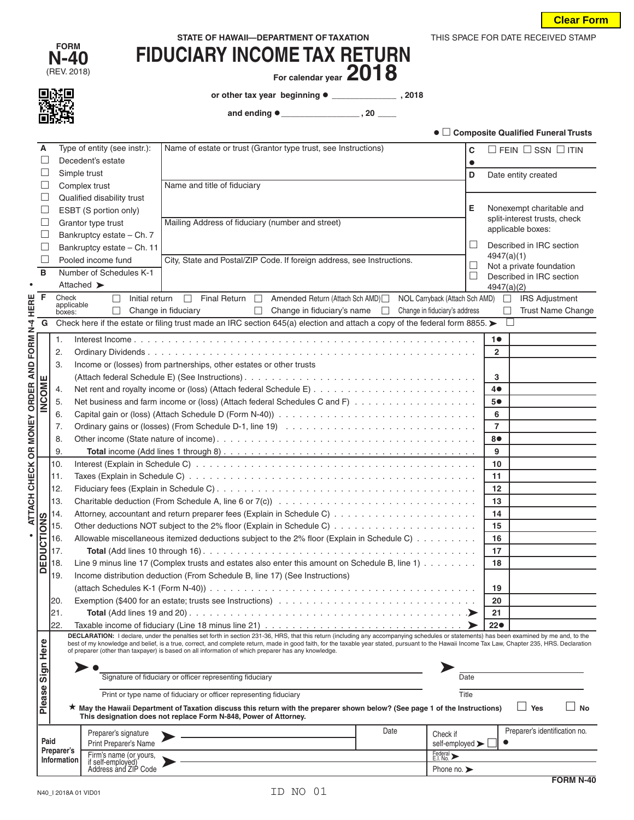| STATE OF HAWAII-DEPARTMENT OF TAXATION |  |
|----------------------------------------|--|
|----------------------------------------|--|

| <b>FORM</b> |
|-------------|
| N-40        |
| IDENI OMAQ  |

心相

# **N-40 FIDUCIARY INCOME TAX RETURN**<br>
FIDUCIARY INCOME TAX **RETURN**

For calendar year 2018

**or other tax year beginning \_\_\_\_\_\_\_\_\_\_\_\_\_\_ , 2018**

 **and ending \_\_\_\_\_\_\_\_\_\_\_\_\_\_\_\_\_ , 20 \_\_\_\_**

| ● □ Composite Qualified Funeral Trusts |  |  |  |
|----------------------------------------|--|--|--|
|----------------------------------------|--|--|--|

THIS SPACE FOR DATE RECEIVED STAMP

|                                          | A                                                                                                                                               |                                  | Type of entity (see instr.): | Name of estate or trust (Grantor type trust, see Instructions)                                                                                                                                                                                                                                                                                                                             | C                       | $\Box$ FEIN $\Box$ SSN $\Box$ ITIN                |
|------------------------------------------|-------------------------------------------------------------------------------------------------------------------------------------------------|----------------------------------|------------------------------|--------------------------------------------------------------------------------------------------------------------------------------------------------------------------------------------------------------------------------------------------------------------------------------------------------------------------------------------------------------------------------------------|-------------------------|---------------------------------------------------|
|                                          | L                                                                                                                                               |                                  | Decedent's estate            |                                                                                                                                                                                                                                                                                                                                                                                            | $\bullet$               |                                                   |
|                                          | ⊔                                                                                                                                               | Simple trust                     |                              |                                                                                                                                                                                                                                                                                                                                                                                            | D                       | Date entity created                               |
|                                          | $\Box$                                                                                                                                          |                                  | Complex trust                | Name and title of fiduciary                                                                                                                                                                                                                                                                                                                                                                |                         |                                                   |
|                                          | $\Box$                                                                                                                                          |                                  | Qualified disability trust   |                                                                                                                                                                                                                                                                                                                                                                                            |                         |                                                   |
|                                          | $\Box$                                                                                                                                          |                                  | ESBT (S portion only)        |                                                                                                                                                                                                                                                                                                                                                                                            | Е                       | Nonexempt charitable and                          |
|                                          | $\Box$                                                                                                                                          |                                  | Grantor type trust           | Mailing Address of fiduciary (number and street)                                                                                                                                                                                                                                                                                                                                           |                         | split-interest trusts, check<br>applicable boxes: |
|                                          | $\Box$                                                                                                                                          |                                  | Bankruptcy estate - Ch. 7    |                                                                                                                                                                                                                                                                                                                                                                                            |                         |                                                   |
|                                          | $\Box$                                                                                                                                          |                                  | Bankruptcy estate - Ch. 11   |                                                                                                                                                                                                                                                                                                                                                                                            | $\Box$                  | Described in IRC section                          |
|                                          | $\Box$                                                                                                                                          |                                  | Pooled income fund           | City, State and Postal/ZIP Code. If foreign address, see Instructions.                                                                                                                                                                                                                                                                                                                     | $\Box$                  | 4947(a)(1)<br>Not a private foundation            |
|                                          | в                                                                                                                                               |                                  | Number of Schedules K-1      |                                                                                                                                                                                                                                                                                                                                                                                            | $\Box$                  | Described in IRC section                          |
|                                          |                                                                                                                                                 | Attached >                       |                              |                                                                                                                                                                                                                                                                                                                                                                                            |                         | 4947(a)(2)                                        |
| <b>HERE</b>                              | F                                                                                                                                               | Check<br>applicable              | Initial return               | Final Return   Amended Return (Attach Sch AMD)   NOL Carryback (Attach Sch AMD)  <br>$\Box$                                                                                                                                                                                                                                                                                                |                         | <b>IRS Adjustment</b>                             |
|                                          |                                                                                                                                                 | boxes:                           |                              | Change in fiduciary<br>□ Change in fiduciary's name □ Change in fiduciary's address                                                                                                                                                                                                                                                                                                        |                         | Trust Name Change<br>П                            |
|                                          | G                                                                                                                                               |                                  |                              | Check here if the estate or filing trust made an IRC section 645(a) election and attach a copy of the federal form 8855. $\blacktriangleright$                                                                                                                                                                                                                                             |                         |                                                   |
|                                          |                                                                                                                                                 | 1.                               |                              |                                                                                                                                                                                                                                                                                                                                                                                            |                         | 10                                                |
|                                          |                                                                                                                                                 | 2.                               |                              |                                                                                                                                                                                                                                                                                                                                                                                            |                         | $\mathbf{2}$                                      |
|                                          |                                                                                                                                                 | 3.                               |                              | Income or (losses) from partnerships, other estates or other trusts                                                                                                                                                                                                                                                                                                                        |                         |                                                   |
|                                          |                                                                                                                                                 |                                  |                              |                                                                                                                                                                                                                                                                                                                                                                                            |                         | 3                                                 |
|                                          |                                                                                                                                                 | 4.                               |                              |                                                                                                                                                                                                                                                                                                                                                                                            |                         | 40                                                |
|                                          | INCOME                                                                                                                                          | 5.                               |                              | Net business and farm income or (loss) (Attach federal Schedules C and F)                                                                                                                                                                                                                                                                                                                  |                         | 5●                                                |
|                                          |                                                                                                                                                 | 6.                               |                              |                                                                                                                                                                                                                                                                                                                                                                                            |                         | 6                                                 |
|                                          |                                                                                                                                                 | 7.                               |                              |                                                                                                                                                                                                                                                                                                                                                                                            |                         | $\overline{7}$                                    |
|                                          |                                                                                                                                                 | 8.                               |                              |                                                                                                                                                                                                                                                                                                                                                                                            |                         | 8●                                                |
| ATTACH CHECK OR MONEY ORDER AND FORM N-4 |                                                                                                                                                 | 9.                               |                              |                                                                                                                                                                                                                                                                                                                                                                                            |                         | 9                                                 |
|                                          |                                                                                                                                                 | 10.                              |                              |                                                                                                                                                                                                                                                                                                                                                                                            |                         | 10                                                |
|                                          |                                                                                                                                                 | 11.                              |                              |                                                                                                                                                                                                                                                                                                                                                                                            |                         | 11                                                |
|                                          |                                                                                                                                                 | 12.<br>13.                       |                              |                                                                                                                                                                                                                                                                                                                                                                                            |                         | 12                                                |
|                                          |                                                                                                                                                 | 14.                              |                              |                                                                                                                                                                                                                                                                                                                                                                                            |                         | 13<br>14                                          |
|                                          | <b>DEDUCTIONS</b>                                                                                                                               | 15.                              |                              |                                                                                                                                                                                                                                                                                                                                                                                            |                         | 15                                                |
|                                          |                                                                                                                                                 | 16.                              |                              | Allowable miscellaneous itemized deductions subject to the 2% floor (Explain in Schedule C)                                                                                                                                                                                                                                                                                                |                         | 16                                                |
|                                          |                                                                                                                                                 | 17.                              |                              |                                                                                                                                                                                                                                                                                                                                                                                            |                         | 17                                                |
|                                          |                                                                                                                                                 | 18.                              |                              | Line 9 minus line 17 (Complex trusts and estates also enter this amount on Schedule B, line 1)                                                                                                                                                                                                                                                                                             |                         | 18                                                |
|                                          |                                                                                                                                                 | 19.                              |                              | Income distribution deduction (From Schedule B, line 17) (See Instructions)                                                                                                                                                                                                                                                                                                                |                         |                                                   |
|                                          |                                                                                                                                                 |                                  |                              |                                                                                                                                                                                                                                                                                                                                                                                            |                         | 19                                                |
|                                          |                                                                                                                                                 | 20.                              |                              |                                                                                                                                                                                                                                                                                                                                                                                            |                         | 20                                                |
|                                          |                                                                                                                                                 | 21.                              |                              |                                                                                                                                                                                                                                                                                                                                                                                            | ➤                       | 21                                                |
|                                          |                                                                                                                                                 | 22.                              |                              |                                                                                                                                                                                                                                                                                                                                                                                            |                         | 22 <sub>o</sub>                                   |
|                                          |                                                                                                                                                 |                                  |                              | DECLARATION: I declare, under the penalties set forth in section 231-36, HRS, that this return (including any accompanying schedules or statements) has been examined by me and, to the<br>best of my knowledge and belief, is a true, correct, and complete return, made in good faith, for the taxable year stated, pursuant to the Hawaii Income Tax Law, Chapter 235, HRS. Declaration |                         |                                                   |
|                                          |                                                                                                                                                 |                                  |                              | of preparer (other than taxpayer) is based on all information of which preparer has any knowledge.                                                                                                                                                                                                                                                                                         |                         |                                                   |
|                                          |                                                                                                                                                 |                                  |                              |                                                                                                                                                                                                                                                                                                                                                                                            |                         |                                                   |
|                                          |                                                                                                                                                 |                                  |                              | Signature of fiduciary or officer representing fiduciary                                                                                                                                                                                                                                                                                                                                   | Date                    |                                                   |
|                                          |                                                                                                                                                 |                                  |                              | Print or type name of fiduciary or officer representing fiduciary                                                                                                                                                                                                                                                                                                                          | Title                   |                                                   |
|                                          | Please Sign Here<br>★ May the Hawaii Department of Taxation discuss this return with the preparer shown below? (See page 1 of the Instructions) |                                  |                              |                                                                                                                                                                                                                                                                                                                                                                                            | $\Box$ Yes<br><b>No</b> |                                                   |
|                                          |                                                                                                                                                 |                                  |                              | This designation does not replace Form N-848, Power of Attorney.                                                                                                                                                                                                                                                                                                                           |                         |                                                   |
|                                          |                                                                                                                                                 |                                  | Preparer's signature         | Date                                                                                                                                                                                                                                                                                                                                                                                       | Check if                | Preparer's identification no.                     |
|                                          | Paid                                                                                                                                            |                                  | Print Preparer's Name        |                                                                                                                                                                                                                                                                                                                                                                                            | self-employed >         |                                                   |
|                                          |                                                                                                                                                 | Preparer's<br><b>Information</b> | Firm's name (or yours,       |                                                                                                                                                                                                                                                                                                                                                                                            | Federal >               |                                                   |
|                                          | if self-employed)<br>Address and ZIP Code<br>Phone no. $\blacktriangleright$                                                                    |                                  |                              |                                                                                                                                                                                                                                                                                                                                                                                            |                         |                                                   |
|                                          |                                                                                                                                                 |                                  |                              |                                                                                                                                                                                                                                                                                                                                                                                            |                         | <b>FORM N-40</b>                                  |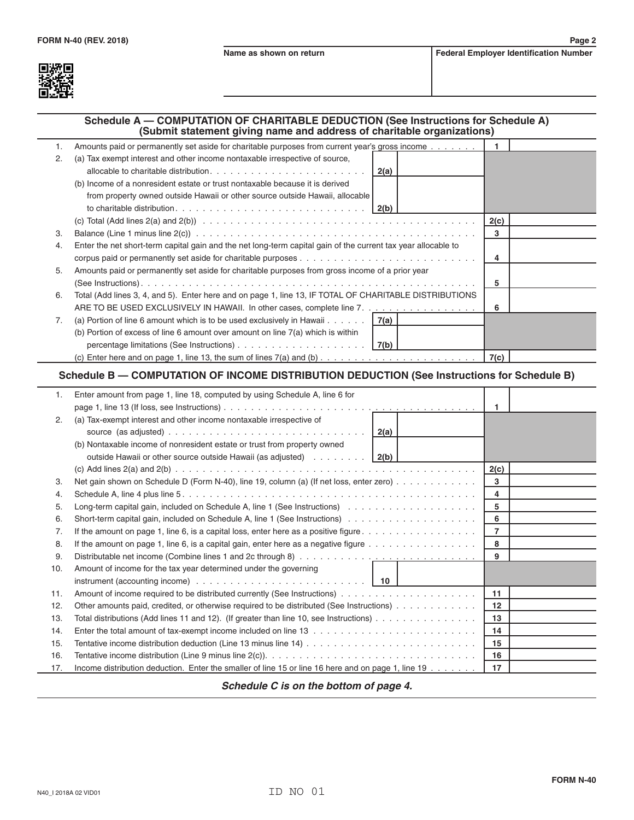

# **Schedule A — COMPUTATION OF CHARITABLE DEDUCTION (See Instructions for Schedule A)**

|    | (Submit statement giving name and address of charitable organizations)                                        |      |  |
|----|---------------------------------------------------------------------------------------------------------------|------|--|
| 1. | Amounts paid or permanently set aside for charitable purposes from current year's gross income                |      |  |
| 2. | (a) Tax exempt interest and other income nontaxable irrespective of source,                                   |      |  |
|    | $2(a)$                                                                                                        |      |  |
|    | (b) Income of a nonresident estate or trust nontaxable because it is derived                                  |      |  |
|    | from property owned outside Hawaii or other source outside Hawaii, allocable                                  |      |  |
|    | $\vert$ 2(b)                                                                                                  |      |  |
|    |                                                                                                               | 2(c) |  |
| 3. |                                                                                                               | 3    |  |
| 4. | Enter the net short-term capital gain and the net long-term capital gain of the current tax year allocable to |      |  |
|    |                                                                                                               | 4    |  |
| 5. | Amounts paid or permanently set aside for charitable purposes from gross income of a prior year               |      |  |
|    |                                                                                                               | 5    |  |
| 6. | Total (Add lines 3, 4, and 5). Enter here and on page 1, line 13, IF TOTAL OF CHARITABLE DISTRIBUTIONS        |      |  |
|    | ARE TO BE USED EXCLUSIVELY IN HAWAII. In other cases, complete line 7.                                        | 6    |  |
| 7. | (a) Portion of line 6 amount which is to be used exclusively in Hawaii $7(a)$                                 |      |  |
|    | (b) Portion of excess of line 6 amount over amount on line $7(a)$ which is within                             |      |  |
|    |                                                                                                               |      |  |
|    |                                                                                                               |      |  |

## **Schedule B — COMPUTATION OF INCOME DISTRIBUTION DEDUCTION (See Instructions for Schedule B)**

| 1.  | Enter amount from page 1, line 18, computed by using Schedule A, line 6 for                                            |                   |  |
|-----|------------------------------------------------------------------------------------------------------------------------|-------------------|--|
|     |                                                                                                                        | 1                 |  |
| 2.  | (a) Tax-exempt interest and other income nontaxable irrespective of                                                    |                   |  |
|     |                                                                                                                        |                   |  |
|     | (b) Nontaxable income of nonresident estate or trust from property owned                                               |                   |  |
|     | outside Hawaii or other source outside Hawaii (as adjusted) $\ldots \ldots \ldots$                                     |                   |  |
|     |                                                                                                                        | 2(c)              |  |
| 3.  | Net gain shown on Schedule D (Form N-40), line 19, column (a) (If net loss, enter zero)                                | 3                 |  |
| 4.  |                                                                                                                        | 4                 |  |
| 5.  |                                                                                                                        | 5                 |  |
| 6.  |                                                                                                                        | 6                 |  |
| 7.  |                                                                                                                        | 7                 |  |
| 8.  | If the amount on page 1, line 6, is a capital gain, enter here as a negative figure $\dots \dots \dots \dots \dots$    | 8                 |  |
| 9.  |                                                                                                                        | 9                 |  |
| 10. | Amount of income for the tax year determined under the governing                                                       |                   |  |
|     | instrument (accounting income) $\ldots \ldots \ldots \ldots \ldots \ldots \ldots \ldots \ldots$   10                   |                   |  |
| 11. |                                                                                                                        | 11                |  |
| 12. | Other amounts paid, credited, or otherwise required to be distributed (See Instructions)                               | $12 \overline{ }$ |  |
| 13. | Total distributions (Add lines 11 and 12). (If greater than line 10, see Instructions) $\dots \dots \dots \dots \dots$ | 13                |  |
| 14. |                                                                                                                        | 14                |  |
| 15. |                                                                                                                        | 15                |  |
| 16. |                                                                                                                        | 16                |  |
| 17. | Income distribution deduction. Enter the smaller of line 15 or line 16 here and on page 1, line 19                     | 17                |  |
|     |                                                                                                                        |                   |  |

*Schedule C is on the bottom of page 4.*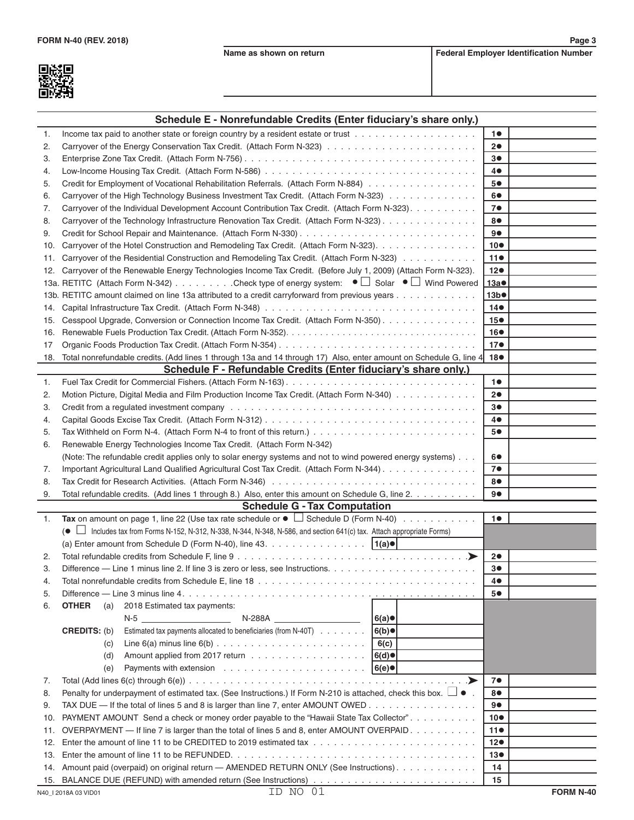爨

**Schedule E - Nonrefundable Credits (Enter fiduciary's share only.)**

| 1.             | Income tax paid to another state or foreign country by a resident estate or trust $\ldots \ldots \ldots \ldots \ldots$            | 10              |  |
|----------------|-----------------------------------------------------------------------------------------------------------------------------------|-----------------|--|
| 2.             |                                                                                                                                   | 20              |  |
| 3.             |                                                                                                                                   | 3●              |  |
| 4.             |                                                                                                                                   | 4●              |  |
| 5.             | Credit for Employment of Vocational Rehabilitation Referrals. (Attach Form N-884)                                                 | 5●              |  |
| 6.             | Carryover of the High Technology Business Investment Tax Credit. (Attach Form N-323)                                              | 6●              |  |
| 7.             | Carryover of the Individual Development Account Contribution Tax Credit. (Attach Form N-323).                                     | 7 <sup>o</sup>  |  |
| 8.             | Carryover of the Technology Infrastructure Renovation Tax Credit. (Attach Form N-323)                                             | 8●              |  |
| 9.             |                                                                                                                                   | 9●              |  |
| 10.            | Carryover of the Hotel Construction and Remodeling Tax Credit. (Attach Form N-323).                                               | $10\bullet$     |  |
| 11.            | Carryover of the Residential Construction and Remodeling Tax Credit. (Attach Form N-323)                                          | 110             |  |
| 12.            | Carryover of the Renewable Energy Technologies Income Tax Credit. (Before July 1, 2009) (Attach Form N-323).                      | 12 <sub>o</sub> |  |
|                | 13a. RETITC (Attach Form N-342) Check type of energy system: $\bullet$ Solar $\bullet$ Wind Powered                               | 13а●            |  |
|                | 13b. RETITC amount claimed on line 13a attributed to a credit carryforward from previous years                                    | 13b             |  |
| 14.            |                                                                                                                                   | $14\bullet$     |  |
| 15.            | Cesspool Upgrade, Conversion or Connection Income Tax Credit. (Attach Form N-350)                                                 | 15 <sup>o</sup> |  |
| 16.            |                                                                                                                                   | 16●             |  |
| 17             |                                                                                                                                   | 17 <sub>•</sub> |  |
| 18.            | Total nonrefundable credits. (Add lines 1 through 13a and 14 through 17) Also, enter amount on Schedule G, line 4 18 <sup>o</sup> |                 |  |
|                | Schedule F - Refundable Credits (Enter fiduciary's share only.)                                                                   |                 |  |
| 1.             |                                                                                                                                   | 10              |  |
| 2.             | Motion Picture, Digital Media and Film Production Income Tax Credit. (Attach Form N-340)                                          | 20              |  |
| З.             |                                                                                                                                   | 3●              |  |
| 4.             |                                                                                                                                   | 4●              |  |
| 5.             |                                                                                                                                   | 5●              |  |
| 6.             | Renewable Energy Technologies Income Tax Credit. (Attach Form N-342)                                                              |                 |  |
|                | (Note: The refundable credit applies only to solar energy systems and not to wind powered energy systems)                         | 60              |  |
| 7.             | Important Agricultural Land Qualified Agricultural Cost Tax Credit. (Attach Form N-344)                                           | 7●              |  |
| 8.             |                                                                                                                                   | 8●              |  |
| 9.             | Total refundable credits. (Add lines 1 through 8.) Also, enter this amount on Schedule G, line 2.                                 | 90              |  |
|                | <b>Schedule G - Tax Computation</b>                                                                                               |                 |  |
| $\mathbf{1}$ . | Tax on amount on page 1, line 22 (Use tax rate schedule or $\bullet$ $\Box$ Schedule D (Form N-40)                                | 10              |  |
|                | (● □ Includes tax from Forms N-152, N-312, N-338, N-344, N-348, N-586, and section 641(c) tax. Attach appropriate Forms)          |                 |  |
|                |                                                                                                                                   |                 |  |
| 2.             |                                                                                                                                   | 20              |  |
| З.             |                                                                                                                                   | 3●              |  |
| 4.             |                                                                                                                                   | 4●              |  |
| 5              | Difference — Line 3 minus line 4                                                                                                  | 5●              |  |
| 6.             | <b>OTHER</b><br>2018 Estimated tax payments:<br>(a)                                                                               |                 |  |
|                | 6(a)<br>N-5<br>N-288A                                                                                                             |                 |  |
|                | <b>CREDITS: (b)</b><br>Estimated tax payments allocated to beneficiaries (from N-40T)<br> 6(b)                                    |                 |  |
|                | 6(c)<br>(c)                                                                                                                       |                 |  |
|                | 6(d)<br>(d)                                                                                                                       |                 |  |
|                | 6(e)<br>(e)                                                                                                                       |                 |  |
| 7.             | $\ldots$                                                                                                                          | 7●              |  |
| 8.             | Penalty for underpayment of estimated tax. (See Instructions.) If Form N-210 is attached, check this box. $\Box \bullet$ .        | 8●              |  |
| 9.             | TAX DUE — If the total of lines 5 and 8 is larger than line 7, enter AMOUNT OWED                                                  | 9●              |  |
| 10.            | PAYMENT AMOUNT Send a check or money order payable to the "Hawaii State Tax Collector".                                           | 10●             |  |
| 11.            | OVERPAYMENT — If line 7 is larger than the total of lines 5 and 8, enter AMOUNT OVERPAID. $\dots$                                 | 11●             |  |
| 12.            |                                                                                                                                   | 12●             |  |
| 13.            |                                                                                                                                   | 13●             |  |
| 14.            | Amount paid (overpaid) on original return - AMENDED RETURN ONLY (See Instructions).                                               | 14              |  |
| 15.            |                                                                                                                                   | 15              |  |